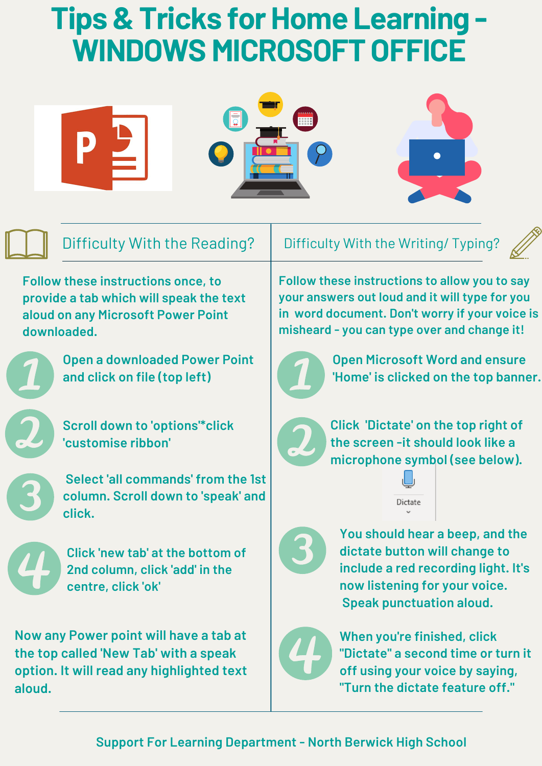## **Tips & Tricks for Home Learning -WINDOWS MICROSOFTOFFICE**



**Follow these instructions once, to provide a tab which will speak the text aloud on any Microsoft Power Point downloaded.**



**Open a downloaded Power Point and click on file (top left)**

## Difficulty With the Reading?

**Scroll down to 'options'\*click 'customise ribbon'**



**Select 'all commands' from the 1st column. Scroll down to 'speak' and click.**



**Click 'new tab' at the bottom of 2nd column, click 'add' in the centre, click 'ok'**

**Now any Power point will have a tab at the top called 'New Tab' with a speak option. It will read any highlighted text aloud.**



Difficulty With the Writing/ Typing?



**Follow these instructions to allow you to say your answers out loud and it will type for you in word document. Don't worry if your voice is misheard - you can type over and change it!**



**Open Microsoft Word and ensure 'Home' is clicked on the top banner.**



**Click 'Dictate' on the top right of the screen -it should look like a microphone symbol (see below).**

Dictate



**When you're finished, click "Dictate" a second time or turn it off using your voice by saying, "Turn the dictate feature off."**

**You should hear a beep, and the dictate button will change to include a red recording light. It's now listening for your voice. Speak punctuation aloud.**



**Support For Learning Department - North Berwick High School**